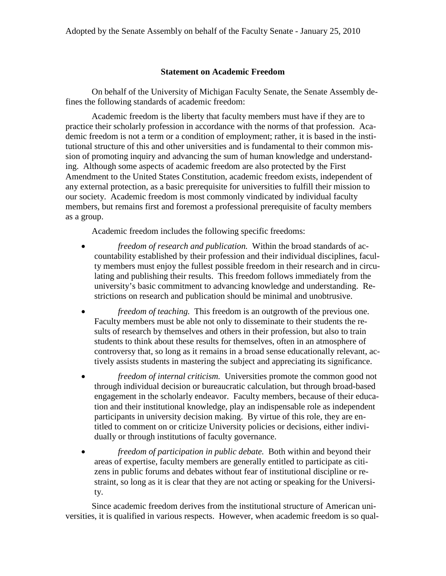## **Statement on Academic Freedom**

On behalf of the University of Michigan Faculty Senate, the Senate Assembly defines the following standards of academic freedom:

Academic freedom is the liberty that faculty members must have if they are to practice their scholarly profession in accordance with the norms of that profession. Academic freedom is not a term or a condition of employment; rather, it is based in the institutional structure of this and other universities and is fundamental to their common mission of promoting inquiry and advancing the sum of human knowledge and understanding. Although some aspects of academic freedom are also protected by the First Amendment to the United States Constitution, academic freedom exists, independent of any external protection, as a basic prerequisite for universities to fulfill their mission to our society. Academic freedom is most commonly vindicated by individual faculty members, but remains first and foremost a professional prerequisite of faculty members as a group.

Academic freedom includes the following specific freedoms:

- *freedom of research and publication.* Within the broad standards of accountability established by their profession and their individual disciplines, faculty members must enjoy the fullest possible freedom in their research and in circulating and publishing their results. This freedom follows immediately from the university's basic commitment to advancing knowledge and understanding. Restrictions on research and publication should be minimal and unobtrusive.
- *freedom of teaching.* This freedom is an outgrowth of the previous one. Faculty members must be able not only to disseminate to their students the results of research by themselves and others in their profession, but also to train students to think about these results for themselves, often in an atmosphere of controversy that, so long as it remains in a broad sense educationally relevant, actively assists students in mastering the subject and appreciating its significance.
- *freedom of internal criticism.* Universities promote the common good not through individual decision or bureaucratic calculation, but through broad-based engagement in the scholarly endeavor. Faculty members, because of their education and their institutional knowledge, play an indispensable role as independent participants in university decision making. By virtue of this role, they are entitled to comment on or criticize University policies or decisions, either individually or through institutions of faculty governance.
- *freedom of participation in public debate.* Both within and beyond their areas of expertise, faculty members are generally entitled to participate as citizens in public forums and debates without fear of institutional discipline or restraint, so long as it is clear that they are not acting or speaking for the University.

Since academic freedom derives from the institutional structure of American universities, it is qualified in various respects. However, when academic freedom is so qual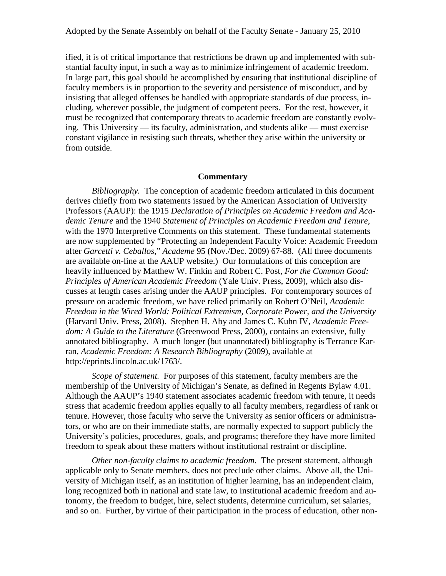ified, it is of critical importance that restrictions be drawn up and implemented with substantial faculty input, in such a way as to minimize infringement of academic freedom. In large part, this goal should be accomplished by ensuring that institutional discipline of faculty members is in proportion to the severity and persistence of misconduct, and by insisting that alleged offenses be handled with appropriate standards of due process, including, wherever possible, the judgment of competent peers. For the rest, however, it must be recognized that contemporary threats to academic freedom are constantly evolving. This University — its faculty, administration, and students alike — must exercise constant vigilance in resisting such threats, whether they arise within the university or from outside.

## **Commentary**

*Bibliography.* The conception of academic freedom articulated in this document derives chiefly from two statements issued by the American Association of University Professors (AAUP): the 1915 *Declaration of Principles on Academic Freedom and Academic Tenure* and the 1940 *Statement of Principles on Academic Freedom and Tenure*, with the 1970 Interpretive Comments on this statement. These fundamental statements are now supplemented by "Protecting an Independent Faculty Voice: Academic Freedom after *Garcetti v. Ceballos*," *Academe* 95 (Nov./Dec. 2009) 67-88. (All three documents are available on-line at the AAUP website.) Our formulations of this conception are heavily influenced by Matthew W. Finkin and Robert C. Post, *For the Common Good: Principles of American Academic Freedom* (Yale Univ. Press, 2009), which also discusses at length cases arising under the AAUP principles. For contemporary sources of pressure on academic freedom, we have relied primarily on Robert O'Neil, *Academic Freedom in the Wired World: Political Extremism, Corporate Power, and the University* (Harvard Univ. Press, 2008). Stephen H. Aby and James C. Kuhn IV, *Academic Freedom: A Guide to the Literature* (Greenwood Press, 2000), contains an extensive, fully annotated bibliography. A much longer (but unannotated) bibliography is Terrance Karran, *Academic Freedom: A Research Bibliography* (2009), available at http://eprints.lincoln.ac.uk/1763/.

*Scope of statement.* For purposes of this statement, faculty members are the membership of the University of Michigan's Senate, as defined in Regents Bylaw 4.01. Although the AAUP's 1940 statement associates academic freedom with tenure, it needs stress that academic freedom applies equally to all faculty members, regardless of rank or tenure. However, those faculty who serve the University as senior officers or administrators, or who are on their immediate staffs, are normally expected to support publicly the University's policies, procedures, goals, and programs; therefore they have more limited freedom to speak about these matters without institutional restraint or discipline.

*Other non-faculty claims to academic freedom.* The present statement, although applicable only to Senate members, does not preclude other claims. Above all, the University of Michigan itself, as an institution of higher learning, has an independent claim, long recognized both in national and state law, to institutional academic freedom and autonomy, the freedom to budget, hire, select students, determine curriculum, set salaries, and so on. Further, by virtue of their participation in the process of education, other non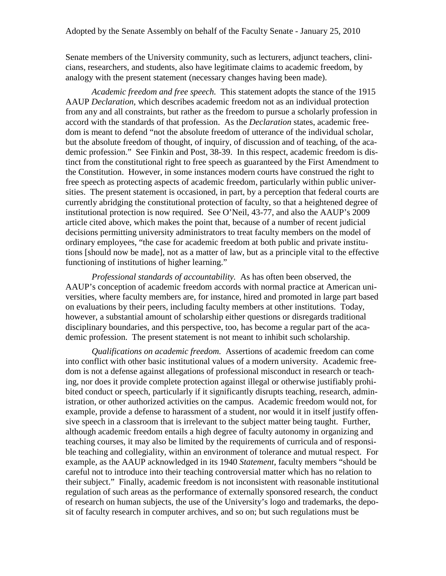Senate members of the University community, such as lecturers, adjunct teachers, clinicians, researchers, and students, also have legitimate claims to academic freedom, by analogy with the present statement (necessary changes having been made).

*Academic freedom and free speech.* This statement adopts the stance of the 1915 AAUP *Declaration*, which describes academic freedom not as an individual protection from any and all constraints, but rather as the freedom to pursue a scholarly profession in accord with the standards of that profession. As the *Declaration* states, academic freedom is meant to defend "not the absolute freedom of utterance of the individual scholar, but the absolute freedom of thought, of inquiry, of discussion and of teaching, of the academic profession." See Finkin and Post, 38-39. In this respect, academic freedom is distinct from the constitutional right to free speech as guaranteed by the First Amendment to the Constitution. However, in some instances modern courts have construed the right to free speech as protecting aspects of academic freedom, particularly within public universities. The present statement is occasioned, in part, by a perception that federal courts are currently abridging the constitutional protection of faculty, so that a heightened degree of institutional protection is now required. See O'Neil, 43-77, and also the AAUP's 2009 article cited above, which makes the point that, because of a number of recent judicial decisions permitting university administrators to treat faculty members on the model of ordinary employees, "the case for academic freedom at both public and private institutions [should now be made], not as a matter of law, but as a principle vital to the effective functioning of institutions of higher learning."

*Professional standards of accountability.* As has often been observed, the AAUP's conception of academic freedom accords with normal practice at American universities, where faculty members are, for instance, hired and promoted in large part based on evaluations by their peers, including faculty members at other institutions. Today, however, a substantial amount of scholarship either questions or disregards traditional disciplinary boundaries, and this perspective, too, has become a regular part of the academic profession. The present statement is not meant to inhibit such scholarship.

*Qualifications on academic freedom.* Assertions of academic freedom can come into conflict with other basic institutional values of a modern university. Academic freedom is not a defense against allegations of professional misconduct in research or teaching, nor does it provide complete protection against illegal or otherwise justifiably prohibited conduct or speech, particularly if it significantly disrupts teaching, research, administration, or other authorized activities on the campus. Academic freedom would not, for example, provide a defense to harassment of a student, nor would it in itself justify offensive speech in a classroom that is irrelevant to the subject matter being taught. Further, although academic freedom entails a high degree of faculty autonomy in organizing and teaching courses, it may also be limited by the requirements of curricula and of responsible teaching and collegiality, within an environment of tolerance and mutual respect. For example, as the AAUP acknowledged in its 1940 *Statement*, faculty members "should be careful not to introduce into their teaching controversial matter which has no relation to their subject." Finally, academic freedom is not inconsistent with reasonable institutional regulation of such areas as the performance of externally sponsored research, the conduct of research on human subjects, the use of the University's logo and trademarks, the deposit of faculty research in computer archives, and so on; but such regulations must be